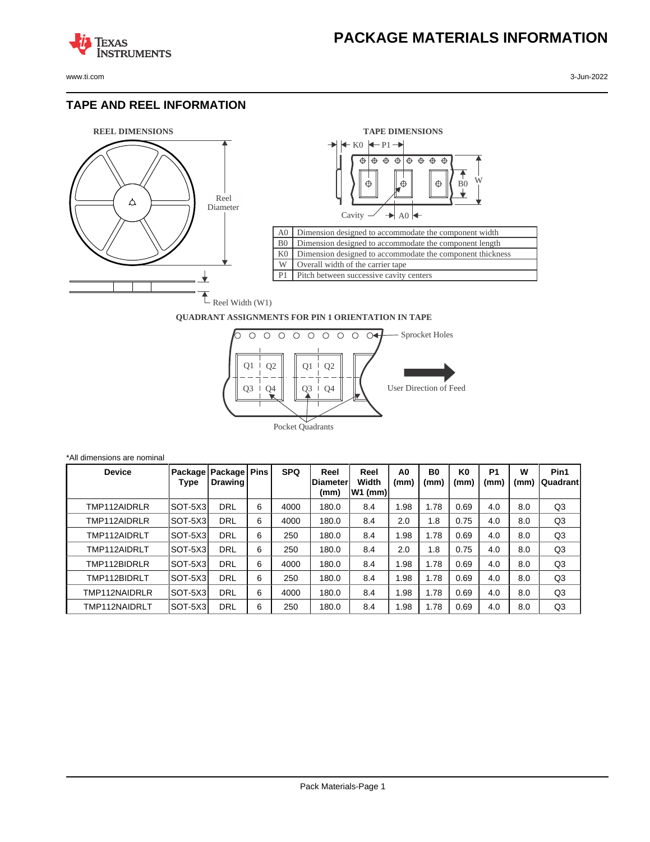www.ti.com 3-Jun-2022

**TEXAS** 

## **TAPE AND REEL INFORMATION**

**AAS**<br>ISTRUMENTS





## **QUADRANT ASSIGNMENTS FOR PIN 1 ORIENTATION IN TAPE**



| *All dimensions are nominal |         |                                     |   |            |                                  |                           |                        |                   |                        |                   |           |                   |
|-----------------------------|---------|-------------------------------------|---|------------|----------------------------------|---------------------------|------------------------|-------------------|------------------------|-------------------|-----------|-------------------|
| <b>Device</b>               | Type    | Package   Package   Pins<br>Drawing |   | <b>SPQ</b> | Reel<br><b>IDiameter</b><br>(mm) | Reel<br>Width<br> W1 (mm) | A <sub>0</sub><br>(mm) | <b>B0</b><br>(mm) | K <sub>0</sub><br>(mm) | <b>P1</b><br>(mm) | W<br>(mm) | Pin1<br> Quadrant |
| TMP112AIDRLR                | SOT-5X3 | <b>DRL</b>                          | 6 | 4000       | 180.0                            | 8.4                       | 1.98                   | 1.78              | 0.69                   | 4.0               | 8.0       | Q <sub>3</sub>    |
| TMP112AIDRLR                | SOT-5X3 | <b>DRL</b>                          | 6 | 4000       | 180.0                            | 8.4                       | 2.0                    | 1.8               | 0.75                   | 4.0               | 8.0       | Q3                |
| TMP112AIDRLT                | SOT-5X3 | DRL                                 | 6 | 250        | 180.0                            | 8.4                       | 1.98                   | 1.78              | 0.69                   | 4.0               | 8.0       | Q <sub>3</sub>    |
| TMP112AIDRLT                | SOT-5X3 | <b>DRL</b>                          | 6 | 250        | 180.0                            | 8.4                       | 2.0                    | 1.8               | 0.75                   | 4.0               | 8.0       | Q <sub>3</sub>    |
| TMP112BIDRLR                | SOT-5X3 | DRL                                 | 6 | 4000       | 180.0                            | 8.4                       | 1.98                   | 1.78              | 0.69                   | 4.0               | 8.0       | Q <sub>3</sub>    |
| TMP112BIDRLT                | SOT-5X3 | <b>DRL</b>                          | 6 | 250        | 180.0                            | 8.4                       | 1.98                   | 1.78              | 0.69                   | 4.0               | 8.0       | Q <sub>3</sub>    |
| TMP112NAIDRLR               | SOT-5X3 | <b>DRL</b>                          | 6 | 4000       | 180.0                            | 8.4                       | 1.98                   | 1.78              | 0.69                   | 4.0               | 8.0       | Q <sub>3</sub>    |
| TMP112NAIDRLT               | SOT-5X3 | <b>DRL</b>                          | 6 | 250        | 180.0                            | 8.4                       | 1.98                   | l.78              | 0.69                   | 4.0               | 8.0       | Q3                |